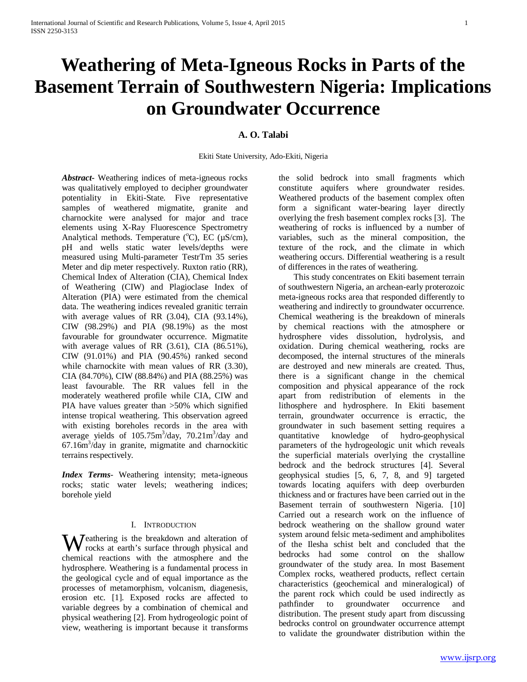# **Weathering of Meta-Igneous Rocks in Parts of the Basement Terrain of Southwestern Nigeria: Implications on Groundwater Occurrence**

# **A. O. Talabi**

Ekiti State University, Ado-Ekiti, Nigeria

*Abstract***-** Weathering indices of meta-igneous rocks was qualitatively employed to decipher groundwater potentiality in Ekiti-State. Five representative samples of weathered migmatite, granite and charnockite were analysed for major and trace elements using X-Ray Fluorescence Spectrometry Analytical methods. Temperature  $(^{\circ}C)$ , EC ( $\mu$ S/cm), pH and wells static water levels/depths were measured using Multi-parameter TestrTm 35 series Meter and dip meter respectively. Ruxton ratio (RR), Chemical Index of Alteration (CIA), Chemical Index of Weathering (CIW) and Plagioclase Index of Alteration (PIA) were estimated from the chemical data. The weathering indices revealed granitic terrain with average values of RR (3.04), CIA (93.14%), CIW (98.29%) and PIA (98.19%) as the most favourable for groundwater occurrence. Migmatite with average values of RR (3.61), CIA (86.51%), CIW (91.01%) and PIA (90.45%) ranked second while charnockite with mean values of RR (3.30), CIA (84.70%), CIW (88.84%) and PIA (88.25%) was least favourable. The RR values fell in the moderately weathered profile while CIA, CIW and PIA have values greater than >50% which signified intense tropical weathering. This observation agreed with existing boreholes records in the area with average yields of  $105.75 \text{m}^3/\text{day}$ ,  $70.21 \text{m}^3/\text{day}$  and  $67.16m<sup>3</sup>/day$  in granite, migmatite and charnockitic terrains respectively.

*Index Terms*- Weathering intensity; meta-igneous rocks; static water levels; weathering indices; borehole yield

# I. INTRODUCTION

eathering is the breakdown and alteration of Weathering is the breakdown and alteration of<br>
rocks at earth's surface through physical and<br>
the distribution of the chemical reactions with the atmosphere and the hydrosphere. Weathering is a fundamental process in the geological cycle and of equal importance as the processes of metamorphism, volcanism, diagenesis, erosion etc. [1]. Exposed rocks are affected to variable degrees by a combination of chemical and physical weathering [2]. From hydrogeologic point of view, weathering is important because it transforms

the solid bedrock into small fragments which constitute aquifers where groundwater resides. Weathered products of the basement complex often form a significant water-bearing layer directly overlying the fresh basement complex rocks [3]. The weathering of rocks is influenced by a number of variables, such as the mineral composition, the texture of the rock, and the climate in which weathering occurs. Differential weathering is a result of differences in the rates of weathering.

 This study concentrates on Ekiti basement terrain of southwestern Nigeria, an archean-early proterozoic meta-igneous rocks area that responded differently to weathering and indirectly to groundwater occurrence. Chemical weathering is the breakdown of minerals by chemical reactions with the atmosphere or hydrosphere vides dissolution, hydrolysis, and oxidation. During chemical weathering, rocks are decomposed, the internal structures of the minerals are destroyed and new minerals are created. Thus, there is a significant change in the chemical composition and physical appearance of the rock apart from redistribution of elements in the lithosphere and hydrosphere. In Ekiti basement terrain, groundwater occurrence is erractic, the groundwater in such basement setting requires a quantitative knowledge of hydro-geophysical parameters of the hydrogeologic unit which reveals the superficial materials overlying the crystalline bedrock and the bedrock structures [4]. Several geophysical studies [5, 6, 7, 8, and 9] targeted towards locating aquifers with deep overburden thickness and or fractures have been carried out in the Basement terrain of southwestern Nigeria. [10] Carried out a research work on the influence of bedrock weathering on the shallow ground water system around felsic meta-sediment and amphibolites of the Ilesha schist belt and concluded that the bedrocks had some control on the shallow groundwater of the study area. In most Basement Complex rocks, weathered products, reflect certain characteristics (geochemical and mineralogical) of the parent rock which could be used indirectly as pathfinder to groundwater occurrence and distribution. The present study apart from discussing bedrocks control on groundwater occurrence attempt to validate the groundwater distribution within the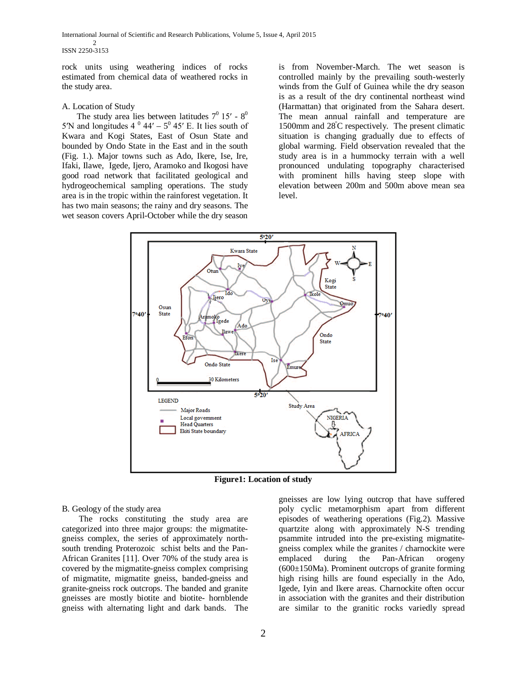International Journal of Scientific and Research Publications, Volume 5, Issue 4, April 2015 2 ISSN 2250-3153

rock units using weathering indices of rocks estimated from chemical data of weathered rocks in the study area.

#### A. Location of Study

The study area lies between latitudes  $7^0$  15′ -  $8^0$ 5<sup>'</sup>N and longitudes  $4^0$  44' –  $5^0$  45' E. It lies south of Kwara and Kogi States, East of Osun State and bounded by Ondo State in the East and in the south (Fig. 1.). Major towns such as Ado, Ikere, Ise, Ire, Ifaki, Ilawe, Igede, Ijero, Aramoko and Ikogosi have good road network that facilitated geological and hydrogeochemical sampling operations. The study area is in the tropic within the rainforest vegetation. It has two main seasons; the rainy and dry seasons. The wet season covers April-October while the dry season

is from November-March. The wet season is controlled mainly by the prevailing south-westerly winds from the Gulf of Guinea while the dry season is as a result of the dry continental northeast wind (Harmattan) that originated from the Sahara desert. The mean annual rainfall and temperature are 1500mm and 28º C respectively. The present climatic situation is changing gradually due to effects of global warming. Field observation revealed that the study area is in a hummocky terrain with a well pronounced undulating topography characterised with prominent hills having steep slope with elevation between 200m and 500m above mean sea level.



**Figure1: Location of study**

B. Geology of the study area

 The rocks constituting the study area are categorized into three major groups: the migmatitegneiss complex, the series of approximately northsouth trending Proterozoic schist belts and the Pan-African Granites [11]. Over 70% of the study area is covered by the migmatite-gneiss complex comprising of migmatite, migmatite gneiss, banded-gneiss and granite-gneiss rock outcrops. The banded and granite gneisses are mostly biotite and biotite- hornblende gneiss with alternating light and dark bands. The gneisses are low lying outcrop that have suffered poly cyclic metamorphism apart from different episodes of weathering operations (Fig.2). Massive quartzite along with approximately N-S trending psammite intruded into the pre-existing migmatitegneiss complex while the granites / charnockite were emplaced during the Pan-African orogeny (600±150Ma). Prominent outcrops of granite forming high rising hills are found especially in the Ado, Igede, Iyin and Ikere areas. Charnockite often occur in association with the granites and their distribution are similar to the granitic rocks variedly spread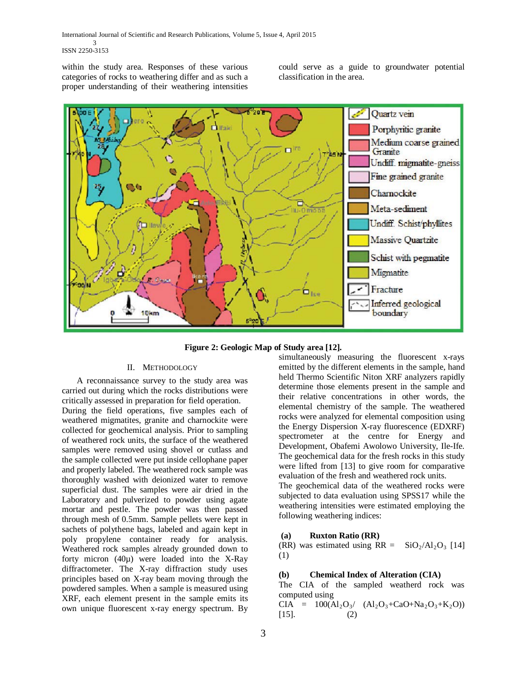within the study area. Responses of these various categories of rocks to weathering differ and as such a proper understanding of their weathering intensities

could serve as a guide to groundwater potential classification in the area.



**Figure 2: Geologic Map of Study area [12].**

# II. METHODOLOGY

 A reconnaissance survey to the study area was carried out during which the rocks distributions were critically assessed in preparation for field operation.

During the field operations, five samples each of weathered migmatites, granite and charnockite were collected for geochemical analysis. Prior to sampling of weathered rock units, the surface of the weathered samples were removed using shovel or cutlass and the sample collected were put inside cellophane paper and properly labeled. The weathered rock sample was thoroughly washed with deionized water to remove superficial dust. The samples were air dried in the Laboratory and pulverized to powder using agate mortar and pestle. The powder was then passed through mesh of 0.5mm. Sample pellets were kept in sachets of polythene bags, labeled and again kept in poly propylene container ready for analysis. Weathered rock samples already grounded down to forty micron (40µ) were loaded into the X-Ray diffractometer. The X-ray diffraction study uses principles based on X-ray beam moving through the powdered samples. When a sample is measured using XRF, each element present in the sample emits its own unique fluorescent x-ray energy spectrum. By

simultaneously measuring the fluorescent x-rays emitted by the different elements in the sample, hand held Thermo Scientific Niton XRF analyzers rapidly determine those elements present in the sample and their relative concentrations in other words, the elemental chemistry of the sample. The weathered rocks were analyzed for elemental composition using the Energy Dispersion X-ray fluorescence (EDXRF) spectrometer at the centre for Energy and Development, Obafemi Awolowo University, Ile-Ife. The geochemical data for the fresh rocks in this study were lifted from [13] to give room for comparative evaluation of the fresh and weathered rock units.

The geochemical data of the weathered rocks were subjected to data evaluation using SPSS17 while the weathering intensities were estimated employing the following weathering indices:

# **(a) Ruxton Ratio (RR)**

(RR) was estimated using  $RR = SiO<sub>2</sub>/Al<sub>2</sub>O<sub>3</sub>$  [14] (1)

# **(b) Chemical Index of Alteration (CIA)**

The CIA of the sampled weatherd rock was computed using

 $CIA = 100(A1_2O_3/(Al_2O_3+CaO+Na_2O_3+K_2O))$  $[15]$ . (2)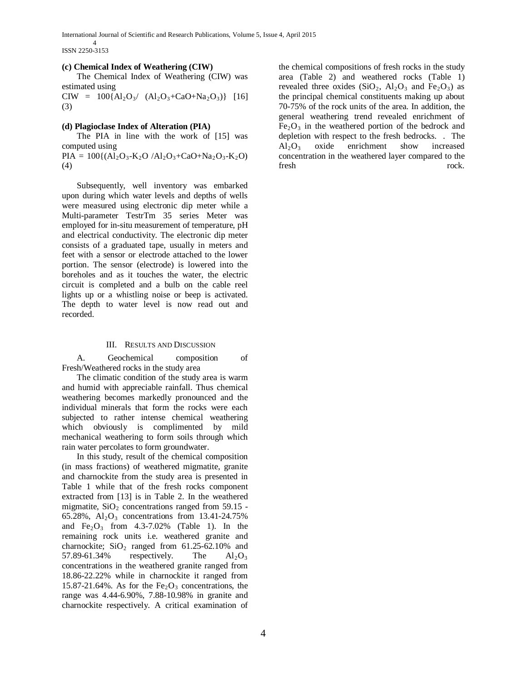International Journal of Scientific and Research Publications, Volume 5, Issue 4, April 2015

ISSN 2250-3153

4

#### **(c) Chemical Index of Weathering (CIW)**

 The Chemical Index of Weathering (CIW) was estimated using

 $CIW = 100\{Al_2O_3/ (Al_2O_3 + CaO + Na_2O_3)\}$  [16] (3)

#### **(d) Plagioclase Index of Alteration (PIA)**

 The PIA in line with the work of [15] was computed using

 $PIA = 100\{(Al_2O_3-K_2O / Al_2O_3+CaO+Na_2O_3-K_2O)$ (4)

 Subsequently, well inventory was embarked upon during which water levels and depths of wells were measured using electronic dip meter while a Multi-parameter TestrTm 35 series Meter was employed for in-situ measurement of temperature, pH and electrical conductivity. The electronic dip meter consists of a graduated tape, usually in meters and feet with a sensor or electrode attached to the lower portion. The sensor (electrode) is lowered into the boreholes and as it touches the water, the electric circuit is completed and a bulb on the cable reel lights up or a whistling noise or beep is activated. The depth to water level is now read out and recorded.

#### III. RESULTS AND DISCUSSION

 A. Geochemical composition of Fresh/Weathered rocks in the study area

 The climatic condition of the study area is warm and humid with appreciable rainfall. Thus chemical weathering becomes markedly pronounced and the individual minerals that form the rocks were each subjected to rather intense chemical weathering which obviously is complimented by mild mechanical weathering to form soils through which rain water percolates to form groundwater.

 In this study, result of the chemical composition (in mass fractions) of weathered migmatite, granite and charnockite from the study area is presented in Table 1 while that of the fresh rocks component extracted from [13] is in Table 2. In the weathered migmatite,  $SiO<sub>2</sub>$  concentrations ranged from 59.15 -65.28%,  $Al_2O_3$  concentrations from 13.41-24.75% and  $Fe<sub>2</sub>O<sub>3</sub>$  from 4.3-7.02% (Table 1). In the remaining rock units i.e. weathered granite and charnockite;  $SiO<sub>2</sub>$  ranged from 61.25-62.10% and 57.89-61.34% respectively. The  $Al_2O_3$ concentrations in the weathered granite ranged from 18.86-22.22% while in charnockite it ranged from 15.87-21.64%. As for the  $Fe<sub>2</sub>O<sub>3</sub>$  concentrations, the range was 4.44-6.90%, 7.88-10.98% in granite and charnockite respectively. A critical examination of

the chemical compositions of fresh rocks in the study area (Table 2) and weathered rocks (Table 1) revealed three oxides  $(SiO_2, Al_2O_3$  and  $Fe_2O_3$ ) as the principal chemical constituents making up about 70-75% of the rock units of the area. In addition, the general weathering trend revealed enrichment of  $Fe<sub>2</sub>O<sub>3</sub>$  in the weathered portion of the bedrock and depletion with respect to the fresh bedrocks. . The  $Al_2O_3$  oxide enrichment show increased concentration in the weathered layer compared to the fresh rock.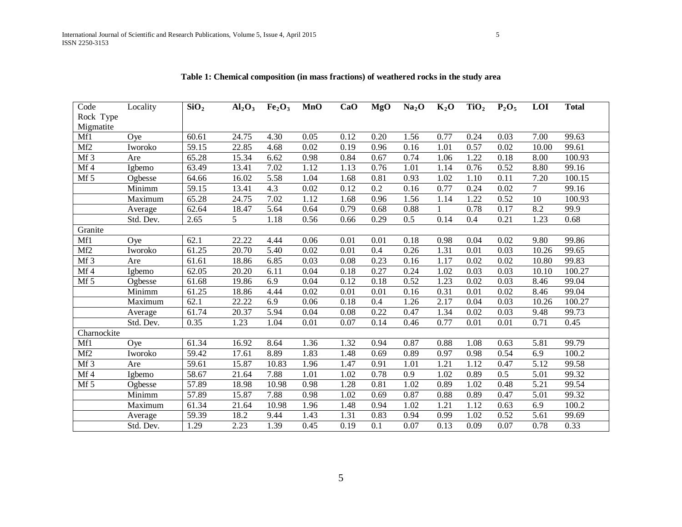| Code            | Locality  | $\overline{SiO}_2$ | Al <sub>2</sub> O <sub>3</sub> | Fe <sub>2</sub> O <sub>3</sub> | <b>MnO</b> | CaO  | <b>MgO</b> | Na <sub>2</sub> O | $K_2O$ | TiO <sub>2</sub> | $P_2O_5$         | LOI               | <b>Total</b>       |
|-----------------|-----------|--------------------|--------------------------------|--------------------------------|------------|------|------------|-------------------|--------|------------------|------------------|-------------------|--------------------|
| Rock Type       |           |                    |                                |                                |            |      |            |                   |        |                  |                  |                   |                    |
| Migmatite       |           |                    |                                |                                |            |      |            |                   |        |                  |                  |                   |                    |
| Mf1             | Ove       | 60.61              | 24.75                          | 4.30                           | 0.05       | 0.12 | 0.20       | 1.56              | 0.77   | 0.24             | 0.03             | 7.00              | 99.63              |
| Mf <sub>2</sub> | Iworoko   | 59.15              | 22.85                          | 4.68                           | 0.02       | 0.19 | 0.96       | 0.16              | 1.01   | 0.57             | 0.02             | 10.00             | 99.61              |
| Mf <sub>3</sub> | Are       | 65.28              | 15.34                          | 6.62                           | 0.98       | 0.84 | 0.67       | 0.74              | 1.06   | 1.22             | 0.18             | 8.00              | 100.93             |
| Mf4             | Igbemo    | 63.49              | 13.41                          | 7.02                           | 1.12       | 1.13 | 0.76       | 1.01              | 1.14   | 0.76             | 0.52             | 8.80              | 99.16              |
| Mf 5            | Ogbesse   | 64.66              | 16.02                          | 5.58                           | 1.04       | 1.68 | 0.81       | 0.93              | 1.02   | 1.10             | 0.11             | 7.20              | 100.15             |
|                 | Minimm    | 59.15              | 13.41                          | 4.3                            | 0.02       | 0.12 | 0.2        | 0.16              | 0.77   | 0.24             | 0.02             | $\overline{7}$    | 99.16              |
|                 | Maximum   | 65.28              | 24.75                          | 7.02                           | 1.12       | 1.68 | 0.96       | 1.56              | 1.14   | 1.22             | 0.52             | 10                | 100.93             |
|                 | Average   | 62.64              | 18.47                          | 5.64                           | 0.64       | 0.79 | 0.68       | 0.88              |        | 0.78             | 0.17             | 8.2               | 99.9               |
|                 | Std. Dev. | 2.65               | 5                              | 1.18                           | 0.56       | 0.66 | 0.29       | 0.5               | 0.14   | 0.4              | 0.21             | 1.23              | 0.68               |
| Granite         |           |                    |                                |                                |            |      |            |                   |        |                  |                  |                   |                    |
| Mf1             | Oye       | 62.1               | 22.22                          | 4.44                           | 0.06       | 0.01 | 0.01       | 0.18              | 0.98   | 0.04             | 0.02             | 9.80              | 99.86              |
| Mf <sub>2</sub> | Iworoko   | 61.25              | 20.70                          | 5.40                           | 0.02       | 0.01 | 0.4        | 0.26              | 1.31   | 0.01             | 0.03             | 10.26             | 99.65              |
| Mf <sub>3</sub> | Are       | 61.61              | 18.86                          | 6.85                           | 0.03       | 0.08 | 0.23       | 0.16              | 1.17   | 0.02             | 0.02             | 10.80             | 99.83              |
| Mf4             | Igbemo    | 62.05              | 20.20                          | 6.11                           | 0.04       | 0.18 | 0.27       | 0.24              | 1.02   | 0.03             | 0.03             | 10.10             | 100.27             |
| Mf 5            | Ogbesse   | 61.68              | 19.86                          | 6.9                            | 0.04       | 0.12 | 0.18       | 0.52              | 1.23   | 0.02             | 0.03             | 8.46              | 99.04              |
|                 | Minimm    | 61.25              | 18.86                          | 4.44                           | 0.02       | 0.01 | 0.01       | 0.16              | 0.31   | 0.01             | 0.02             | 8.46              | 99.04              |
|                 | Maximum   | 62.1               | 22.22                          | 6.9                            | 0.06       | 0.18 | 0.4        | 1.26              | 2.17   | 0.04             | 0.03             | 10.26             | 100.27             |
|                 | Average   | 61.74              | 20.37                          | 5.94                           | 0.04       | 0.08 | 0.22       | 0.47              | 1.34   | 0.02             | 0.03             | 9.48              | $\overline{9}9.73$ |
|                 | Std. Dev. | 0.35               | 1.23                           | 1.04                           | 0.01       | 0.07 | 0.14       | 0.46              | 0.77   | 0.01             | 0.01             | 0.71              | 0.45               |
| Charnockite     |           |                    |                                |                                |            |      |            |                   |        |                  |                  |                   |                    |
| Mf1             | Ove       | 61.34              | 16.92                          | 8.64                           | 1.36       | 1.32 | 0.94       | 0.87              | 0.88   | 1.08             | 0.63             | 5.81              | 99.79              |
| Mf <sub>2</sub> | Iworoko   | 59.42              | 17.61                          | 8.89                           | 1.83       | 1.48 | 0.69       | 0.89              | 0.97   | 0.98             | 0.54             | 6.9               | 100.2              |
| Mf <sub>3</sub> | Are       | 59.61              | 15.87                          | 10.83                          | 1.96       | 1.47 | 0.91       | 1.01              | 1.21   | 1.12             | 0.47             | 5.12              | 99.58              |
| Mf4             | Igbemo    | 58.67              | 21.64                          | 7.88                           | 1.01       | 1.02 | 0.78       | 0.9               | 1.02   | 0.89             | $\overline{0.5}$ | $\overline{5.01}$ | 99.32              |
| Mf 5            | Ogbesse   | 57.89              | 18.98                          | 10.98                          | 0.98       | 1.28 | 0.81       | 1.02              | 0.89   | 1.02             | 0.48             | 5.21              | 99.54              |
|                 | Minimm    | 57.89              | 15.87                          | 7.88                           | 0.98       | 1.02 | 0.69       | 0.87              | 0.88   | 0.89             | 0.47             | 5.01              | 99.32              |
|                 | Maximum   | 61.34              | 21.64                          | 10.98                          | 1.96       | 1.48 | 0.94       | 1.02              | 1.21   | 1.12             | 0.63             | 6.9               | 100.2              |
|                 | Average   | 59.39              | 18.2                           | 9.44                           | 1.43       | 1.31 | 0.83       | 0.94              | 0.99   | 1.02             | 0.52             | 5.61              | 99.69              |
|                 | Std. Dev. | 1.29               | 2.23                           | 1.39                           | 0.45       | 0.19 | 0.1        | 0.07              | 0.13   | 0.09             | 0.07             | 0.78              | 0.33               |

**Table 1: Chemical composition (in mass fractions) of weathered rocks in the study area**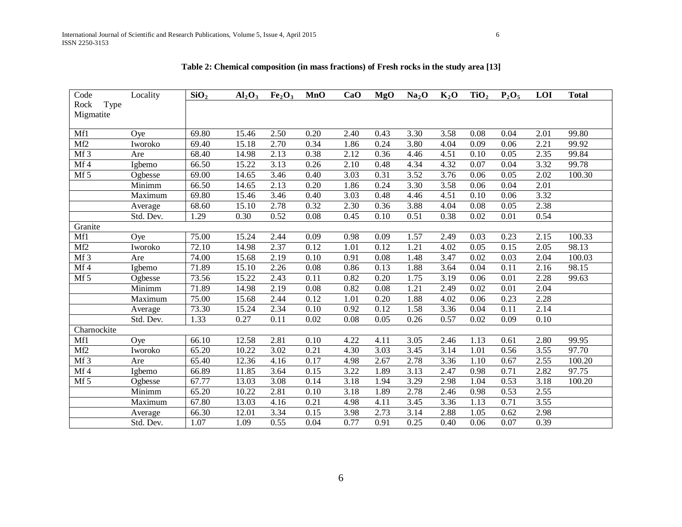| $\rm Code$      | Locality  | SiO <sub>2</sub>   | Al <sub>2</sub> O <sub>3</sub> | Fe <sub>2</sub> O <sub>3</sub> | <b>MnO</b>        | CaO  | <b>MgO</b>        | Na <sub>2</sub> O | $K_2O$ | TiO <sub>2</sub>  | $P_2O_5$ | LOI  | <b>Total</b> |
|-----------------|-----------|--------------------|--------------------------------|--------------------------------|-------------------|------|-------------------|-------------------|--------|-------------------|----------|------|--------------|
| Type<br>Rock    |           |                    |                                |                                |                   |      |                   |                   |        |                   |          |      |              |
| Migmatite       |           |                    |                                |                                |                   |      |                   |                   |        |                   |          |      |              |
|                 |           |                    |                                |                                |                   |      |                   |                   |        |                   |          |      |              |
| Mf1             | Oye       | 69.80              | 15.46                          | 2.50                           | 0.20              | 2.40 | 0.43              | 3.30              | 3.58   | 0.08              | 0.04     | 2.01 | 99.80        |
| Mf2             | Iworoko   | 69.40              | 15.18                          | 2.70                           | 0.34              | 1.86 | 0.24              | 3.80              | 4.04   | 0.09              | 0.06     | 2.21 | 99.92        |
| Mf <sub>3</sub> | Are       | 68.40              | 14.98                          | 2.13                           | 0.38              | 2.12 | 0.36              | 4.46              | 4.51   | 0.10              | 0.05     | 2.35 | 99.84        |
| Mf4             | Igbemo    | 66.50              | 15.22                          | 3.13                           | 0.26              | 2.10 | 0.48              | 4.34              | 4.32   | 0.07              | 0.04     | 3.32 | 99.78        |
| Mf 5            | Ogbesse   | 69.00              | 14.65                          | 3.46                           | 0.40              | 3.03 | 0.31              | 3.52              | 3.76   | 0.06              | 0.05     | 2.02 | 100.30       |
|                 | Minimm    | 66.50              | 14.65                          | 2.13                           | 0.20              | 1.86 | 0.24              | 3.30              | 3.58   | 0.06              | 0.04     | 2.01 |              |
|                 | Maximum   | 69.80              | 15.46                          | 3.46                           | 0.40              | 3.03 | 0.48              | 4.46              | 4.51   | 0.10              | 0.06     | 3.32 |              |
|                 | Average   | 68.60              | 15.10                          | 2.78                           | 0.32              | 2.30 | 0.36              | 3.88              | 4.04   | 0.08              | 0.05     | 2.38 |              |
|                 | Std. Dev. | 1.29               | 0.30                           | 0.52                           | 0.08              | 0.45 | 0.10              | 0.51              | 0.38   | 0.02              | 0.01     | 0.54 |              |
| Granite         |           |                    |                                |                                |                   |      |                   |                   |        |                   |          |      |              |
| Mf1             | Oye       | 75.00              | 15.24                          | 2.44                           | 0.09              | 0.98 | 0.09              | 1.57              | 2.49   | 0.03              | 0.23     | 2.15 | 100.33       |
| Mf2             | Iworoko   | 72.10              | 14.98                          | 2.37                           | 0.12              | 1.01 | $\overline{0.12}$ | 1.21              | 4.02   | 0.05              | 0.15     | 2.05 | 98.13        |
| $Mf$ 3          | Are       | 74.00              | 15.68                          | 2.19                           | 0.10              | 0.91 | 0.08              | 1.48              | 3.47   | 0.02              | 0.03     | 2.04 | 100.03       |
| Mf4             | Igbemo    | 71.89              | 15.10                          | 2.26                           | 0.08              | 0.86 | 0.13              | 1.88              | 3.64   | 0.04              | 0.11     | 2.16 | 98.15        |
| $Mf$ 5          | Ogbesse   | 73.56              | 15.22                          | 2.43                           | $\overline{0.11}$ | 0.82 | 0.20              | 1.75              | 3.19   | 0.06              | 0.01     | 2.28 | 99.63        |
|                 | Minimm    | 71.89              | 14.98                          | 2.19                           | 0.08              | 0.82 | $\overline{0.08}$ | 1.21              | 2.49   | 0.02              | 0.01     | 2.04 |              |
|                 | Maximum   | $\overline{7}5.00$ | 15.68                          | 2.44                           | 0.12              | 1.01 | 0.20              | 1.88              | 4.02   | 0.06              | 0.23     | 2.28 |              |
|                 | Average   | 73.30              | 15.24                          | 2.34                           | 0.10              | 0.92 | 0.12              | 1.58              | 3.36   | 0.04              | 0.11     | 2.14 |              |
|                 | Std. Dev. | 1.33               | 0.27                           | 0.11                           | 0.02              | 0.08 | 0.05              | 0.26              | 0.57   | 0.02              | 0.09     | 0.10 |              |
| Charnockite     |           |                    |                                |                                |                   |      |                   |                   |        |                   |          |      |              |
| Mf1             | Oye       | 66.10              | 12.58                          | 2.81                           | 0.10              | 4.22 | 4.11              | 3.05              | 2.46   | 1.13              | 0.61     | 2.80 | 99.95        |
| Mf2             | Iworoko   | 65.20              | 10.22                          | 3.02                           | 0.21              | 4.30 | 3.03              | 3.45              | 3.14   | $\overline{1.01}$ | 0.56     | 3.55 | 97.70        |
| Mf3             | Are       | 65.40              | 12.36                          | 4.16                           | 0.17              | 4.98 | 2.67              | 2.78              | 3.36   | 1.10              | 0.67     | 2.55 | 100.20       |
| Mf4             | Igbemo    | 66.89              | 11.85                          | 3.64                           | 0.15              | 3.22 | 1.89              | 3.13              | 2.47   | 0.98              | 0.71     | 2.82 | 97.75        |
| Mf 5            | Ogbesse   | 67.77              | 13.03                          | 3.08                           | 0.14              | 3.18 | 1.94              | 3.29              | 2.98   | 1.04              | 0.53     | 3.18 | 100.20       |
|                 | Minimm    | 65.20              | 10.22                          | 2.81                           | 0.10              | 3.18 | 1.89              | 2.78              | 2.46   | 0.98              | 0.53     | 2.55 |              |
|                 | Maximum   | 67.80              | 13.03                          | 4.16                           | 0.21              | 4.98 | 4.11              | 3.45              | 3.36   | 1.13              | 0.71     | 3.55 |              |
|                 | Average   | 66.30              | 12.01                          | 3.34                           | 0.15              | 3.98 | 2.73              | 3.14              | 2.88   | 1.05              | 0.62     | 2.98 |              |
|                 | Std. Dev. | 1.07               | 1.09                           | 0.55                           | 0.04              | 0.77 | 0.91              | 0.25              | 0.40   | 0.06              | 0.07     | 0.39 |              |

**Table 2: Chemical composition (in mass fractions) of Fresh rocks in the study area [13]**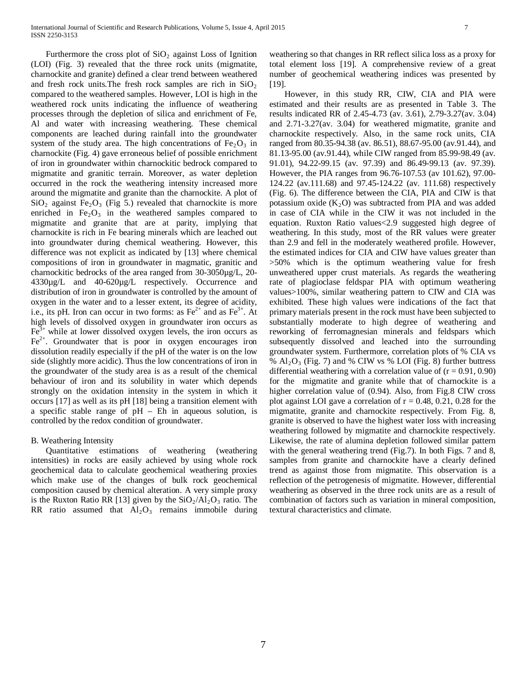Furthermore the cross plot of  $SiO<sub>2</sub>$  against Loss of Ignition (LOI) (Fig. 3) revealed that the three rock units (migmatite, charnockite and granite) defined a clear trend between weathered and fresh rock units. The fresh rock samples are rich in  $SiO<sub>2</sub>$ compared to the weathered samples. However, LOI is high in the weathered rock units indicating the influence of weathering processes through the depletion of silica and enrichment of Fe, Al and water with increasing weathering. These chemical components are leached during rainfall into the groundwater system of the study area. The high concentrations of  $Fe<sub>2</sub>O<sub>3</sub>$  in charnockite (Fig. 4) gave erroneous belief of possible enrichment of iron in groundwater within charnockitic bedrock compared to migmatite and granitic terrain. Moreover, as water depletion occurred in the rock the weathering intensity increased more around the migmatite and granite than the charnockite. A plot of  $SiO<sub>2</sub>$  against Fe<sub>2</sub>O<sub>3</sub> (Fig 5.) revealed that charnockite is more enriched in  $Fe<sub>2</sub>O<sub>3</sub>$  in the weathered samples compared to migmatite and granite that are at parity, implying that charnockite is rich in Fe bearing minerals which are leached out into groundwater during chemical weathering. However, this difference was not explicit as indicated by [13] where chemical compositions of iron in groundwater in magmatic, granitic and charnockitic bedrocks of the area ranged from 30-3050µg/L, 20- 4330µg/L and 40-620µg/L respectively. Occurrence and distribution of iron in groundwater is controlled by the amount of oxygen in the water and to a lesser extent, its degree of acidity, i.e., its pH. Iron can occur in two forms: as  $Fe^{2+}$  and as  $Fe^{3+}$ . At high levels of dissolved oxygen in groundwater iron occurs as  $Fe<sup>3+</sup>$  while at lower dissolved oxygen levels, the iron occurs as  $Fe<sup>2+</sup>$ . Groundwater that is poor in oxygen encourages iron dissolution readily especially if the pH of the water is on the low side (slightly more acidic). Thus the low concentrations of iron in the groundwater of the study area is as a result of the chemical behaviour of iron and its solubility in water which depends strongly on the oxidation intensity in the system in which it occurs [17] as well as its pH [18] being a transition element with a specific stable range of  $pH - Eh$  in aqueous solution, is controlled by the redox condition of groundwater.

# B. Weathering Intensity

 Quantitative estimations of weathering (weathering intensities) in rocks are easily achieved by using whole rock geochemical data to calculate geochemical weathering proxies which make use of the changes of bulk rock geochemical composition caused by chemical alteration. A very simple proxy is the Ruxton Ratio RR [13] given by the  $SiO_2/Al_2O_3$  ratio. The RR ratio assumed that  $Al_2O_3$  remains immobile during weathering so that changes in RR reflect silica loss as a proxy for total element loss [19]. A comprehensive review of a great number of geochemical weathering indices was presented by [19].

 However, in this study RR, CIW, CIA and PIA were estimated and their results are as presented in Table 3. The results indicated RR of 2.45-4.73 (av. 3.61), 2.79-3.27(av. 3.04) and 2.71-3.27(av. 3.04) for weathered migmatite, granite and charnockite respectively. Also, in the same rock units, CIA ranged from 80.35-94.38 (av. 86.51), 88.67-95.00 (av.91.44), and 81.13-95.00 (av.91.44), while CIW ranged from 85.99-98.49 (av. 91.01), 94.22-99.15 (av. 97.39) and 86.49-99.13 (av. 97.39). However, the PIA ranges from 96.76-107.53 (av 101.62), 97.00- 124.22 (av.111.68) and 97.45-124.22 (av. 111.68) respectively (Fig. 6). The difference between the CIA, PIA and CIW is that potassium oxide  $(K_2O)$  was subtracted from PIA and was added in case of CIA while in the CIW it was not included in the equation. Ruxton Ratio values<2.9 suggested high degree of weathering. In this study, most of the RR values were greater than 2.9 and fell in the moderately weathered profile. However, the estimated indices for CIA and CIW have values greater than >50% which is the optimum weathering value for fresh unweathered upper crust materials. As regards the weathering rate of plagioclase feldspar PIA with optimum weathering values>100%, similar weathering pattern to CIW and CIA was exhibited. These high values were indications of the fact that primary materials present in the rock must have been subjected to substantially moderate to high degree of weathering and reworking of ferromagnesian minerals and feldspars which subsequently dissolved and leached into the surrounding groundwater system. Furthermore, correlation plots of % CIA vs %  $Al_2O_3$  (Fig. 7) and % CIW vs % LOI (Fig. 8) further buttress differential weathering with a correlation value of  $(r = 0.91, 0.90)$ for the migmatite and granite while that of charnockite is a higher correlation value of (0.94). Also, from Fig.8 CIW cross plot against LOI gave a correlation of  $r = 0.48, 0.21, 0.28$  for the migmatite, granite and charnockite respectively. From Fig. 8, granite is observed to have the highest water loss with increasing weathering followed by migmatite and charnockite respectively. Likewise, the rate of alumina depletion followed similar pattern with the general weathering trend (Fig.7). In both Figs. 7 and 8, samples from granite and charnockite have a clearly defined trend as against those from migmatite. This observation is a reflection of the petrogenesis of migmatite. However, differential weathering as observed in the three rock units are as a result of combination of factors such as variation in mineral composition, textural characteristics and climate.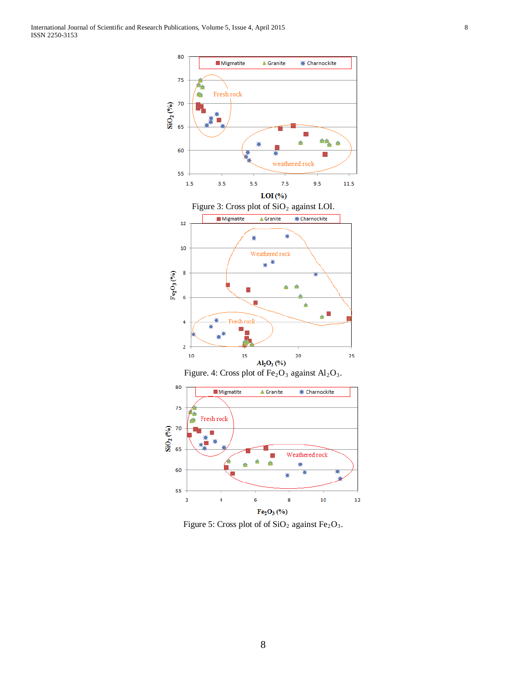International Journal of Scientific and Research Publications, Volume 5, Issue 4, April 2015 8 ISSN 2250-3153



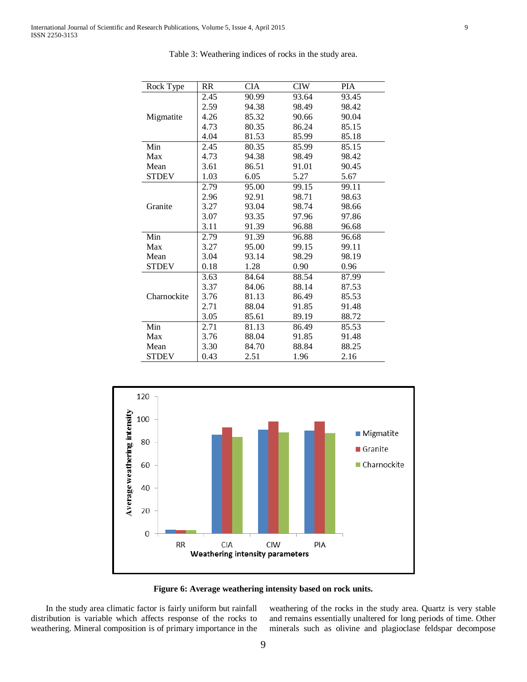| Rock Type    | <b>RR</b> | <b>CIA</b> | <b>CIW</b> | PIA   |
|--------------|-----------|------------|------------|-------|
|              | 2.45      | 90.99      | 93.64      | 93.45 |
|              | 2.59      | 94.38      | 98.49      | 98.42 |
| Migmatite    | 4.26      | 85.32      | 90.66      | 90.04 |
|              | 4.73      | 80.35      | 86.24      | 85.15 |
|              | 4.04      | 81.53      | 85.99      | 85.18 |
| Min          | 2.45      | 80.35      | 85.99      | 85.15 |
| Max          | 4.73      | 94.38      | 98.49      | 98.42 |
| Mean         | 3.61      | 86.51      | 91.01      | 90.45 |
| <b>STDEV</b> | 1.03      | 6.05       | 5.27       | 5.67  |
|              | 2.79      | 95.00      | 99.15      | 99.11 |
|              | 2.96      | 92.91      | 98.71      | 98.63 |
| Granite      | 3.27      | 93.04      | 98.74      | 98.66 |
|              | 3.07      | 93.35      | 97.96      | 97.86 |
|              | 3.11      | 91.39      | 96.88      | 96.68 |
| Min          | 2.79      | 91.39      | 96.88      | 96.68 |
| Max          | 3.27      | 95.00      | 99.15      | 99.11 |
| Mean         | 3.04      | 93.14      | 98.29      | 98.19 |
| <b>STDEV</b> | 0.18      | 1.28       | 0.90       | 0.96  |
|              | 3.63      | 84.64      | 88.54      | 87.99 |
|              | 3.37      | 84.06      | 88.14      | 87.53 |
| Charnockite  | 3.76      | 81.13      | 86.49      | 85.53 |
|              | 2.71      | 88.04      | 91.85      | 91.48 |
|              | 3.05      | 85.61      | 89.19      | 88.72 |
| Min          | 2.71      | 81.13      | 86.49      | 85.53 |
| Max          | 3.76      | 88.04      | 91.85      | 91.48 |
| Mean         | 3.30      | 84.70      | 88.84      | 88.25 |
| <b>STDEV</b> | 0.43      | 2.51       | 1.96       | 2.16  |

Table 3: Weathering indices of rocks in the study area.



**Figure 6: Average weathering intensity based on rock units.**

 In the study area climatic factor is fairly uniform but rainfall distribution is variable which affects response of the rocks to weathering. Mineral composition is of primary importance in the weathering of the rocks in the study area. Quartz is very stable and remains essentially unaltered for long periods of time. Other minerals such as olivine and plagioclase feldspar decompose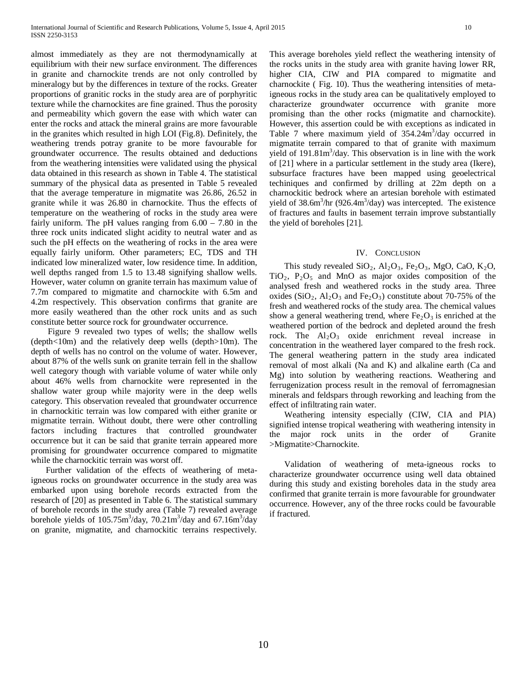almost immediately as they are not thermodynamically at equilibrium with their new surface environment. The differences in granite and charnockite trends are not only controlled by mineralogy but by the differences in texture of the rocks. Greater proportions of granitic rocks in the study area are of porphyritic texture while the charnockites are fine grained. Thus the porosity and permeability which govern the ease with which water can enter the rocks and attack the mineral grains are more favourable in the granites which resulted in high LOI (Fig.8). Definitely, the weathering trends potray granite to be more favourable for groundwater occurrence. The results obtained and deductions from the weathering intensities were validated using the physical data obtained in this research as shown in Table 4. The statistical summary of the physical data as presented in Table 5 revealed that the average temperature in migmatite was 26.86, 26.52 in granite while it was 26.80 in charnockite. Thus the effects of temperature on the weathering of rocks in the study area were fairly uniform. The pH values ranging from  $6.00 - 7.80$  in the three rock units indicated slight acidity to neutral water and as such the pH effects on the weathering of rocks in the area were equally fairly uniform. Other parameters; EC, TDS and TH indicated low mineralized water, low residence time. In addition, well depths ranged from 1.5 to 13.48 signifying shallow wells. However, water column on granite terrain has maximum value of 7.7m compared to migmatite and charnockite with 6.5m and 4.2m respectively. This observation confirms that granite are more easily weathered than the other rock units and as such constitute better source rock for groundwater occurrence.

 Figure 9 revealed two types of wells; the shallow wells (depth<10m) and the relatively deep wells (depth>10m). The depth of wells has no control on the volume of water. However, about 87% of the wells sunk on granite terrain fell in the shallow well category though with variable volume of water while only about 46% wells from charnockite were represented in the shallow water group while majority were in the deep wells category. This observation revealed that groundwater occurrence in charnockitic terrain was low compared with either granite or migmatite terrain. Without doubt, there were other controlling factors including fractures that controlled groundwater occurrence but it can be said that granite terrain appeared more promising for groundwater occurrence compared to migmatite while the charnockitic terrain was worst off.

 Further validation of the effects of weathering of metaigneous rocks on groundwater occurrence in the study area was embarked upon using borehole records extracted from the research of [20] as presented in Table 6. The statistical summary of borehole records in the study area (Table 7) revealed average borehole yields of  $105.75 \text{m}^3/\text{day}$ ,  $70.21 \text{m}^3/\text{day}$  and  $67.16 \text{m}^3/\text{day}$ on granite, migmatite, and charnockitic terrains respectively.

This average boreholes yield reflect the weathering intensity of the rocks units in the study area with granite having lower RR, higher CIA, CIW and PIA compared to migmatite and charnockite ( Fig. 10). Thus the weathering intensities of metaigneous rocks in the study area can be qualitatively employed to characterize groundwater occurrence with granite more promising than the other rocks (migmatite and charnockite). However, this assertion could be with exceptions as indicated in Table 7 where maximum yield of  $354.24 \text{m}^3/\text{day}$  occurred in migmatite terrain compared to that of granite with maximum yield of  $191.81m<sup>3</sup>/day$ . This observation is in line with the work of [21] where in a particular settlement in the study area (Ikere), subsurface fractures have been mapped using geoelectrical techiniques and confirmed by drilling at 22m depth on a charnockitic bedrock where an artesian borehole with estimated yield of  $38.6m^3/hr$  (926.4m<sup>3</sup>/day) was intercepted. The existence of fractures and faults in basement terrain improve substantially the yield of boreholes [21].

#### IV. CONCLUSION

This study revealed  $SiO_2$ ,  $Al_2O_3$ ,  $Fe_2O_3$ , MgO, CaO, K<sub>2</sub>O,  $TiO<sub>2</sub>$ ,  $P<sub>2</sub>O<sub>5</sub>$  and MnO as major oxides composition of the analysed fresh and weathered rocks in the study area. Three oxides (SiO<sub>2</sub>, Al<sub>2</sub>O<sub>3</sub> and Fe<sub>2</sub>O<sub>3</sub>) constitute about 70-75% of the fresh and weathered rocks of the study area. The chemical values show a general weathering trend, where  $Fe<sub>2</sub>O<sub>3</sub>$  is enriched at the weathered portion of the bedrock and depleted around the fresh rock. The  $Al_2O_3$  oxide enrichment reveal increase in concentration in the weathered layer compared to the fresh rock. The general weathering pattern in the study area indicated removal of most alkali (Na and K) and alkaline earth (Ca and Mg) into solution by weathering reactions. Weathering and ferrugenization process result in the removal of ferromagnesian minerals and feldspars through reworking and leaching from the effect of infiltrating rain water.

 Weathering intensity especially (CIW, CIA and PIA) signified intense tropical weathering with weathering intensity in the major rock units in the order of Granite >Migmatite>Charnockite.

 Validation of weathering of meta-igneous rocks to characterize groundwater occurrence using well data obtained during this study and existing boreholes data in the study area confirmed that granite terrain is more favourable for groundwater occurrence. However, any of the three rocks could be favourable if fractured.

10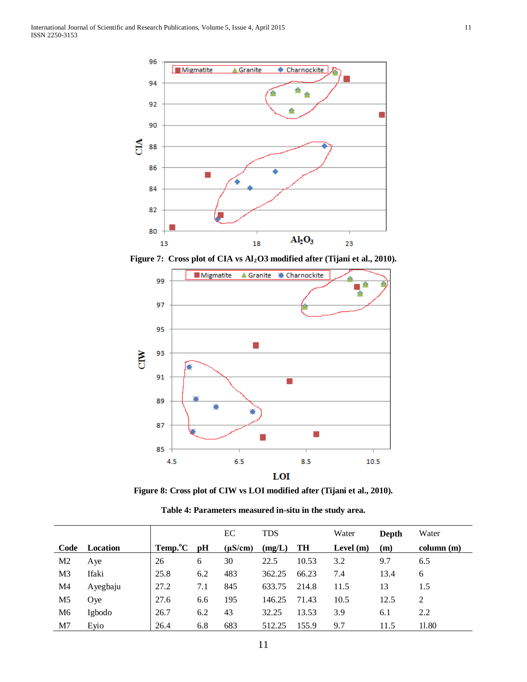

Figure 7: Cross plot of CIA vs Al<sub>2</sub>O3 modified after (Tijani et al., 2010).



**Figure 8: Cross plot of CIW vs LOI modified after (Tijani et al., 2010).**

| Table 4: Parameters measured in-situ in the study area. |  |
|---------------------------------------------------------|--|
|                                                         |  |

|                |          |                          |     | EC           | <b>TDS</b> |       | Water<br>Depth |      | Water     |
|----------------|----------|--------------------------|-----|--------------|------------|-------|----------------|------|-----------|
| Code           | Location | $Temp.$ <sup>o</sup> $C$ | pH  | $(\mu S/cm)$ | (mg/L)     | TH    | Level $(m)$    | (m)  | column(m) |
| M <sub>2</sub> | Aye      | 26                       | 6   | 30           | 22.5       | 10.53 | 3.2            | 9.7  | 6.5       |
| M <sub>3</sub> | Ifaki    | 25.8                     | 6.2 | 483          | 362.25     | 66.23 | 7.4            | 13.4 | 6         |
| M4             | Ayegbaju | 27.2                     | 7.1 | 845          | 633.75     | 214.8 | 11.5           | 13   | 1.5       |
| M <sub>5</sub> | Oye      | 27.6                     | 6.6 | 195          | 146.25     | 71.43 | 10.5           | 12.5 | 2         |
| M <sub>6</sub> | Igbodo   | 26.7                     | 6.2 | 43           | 32.25      | 13.53 | 3.9            | 6.1  | 2.2       |
| M7             | Eyio     | 26.4                     | 6.8 | 683          | 512.25     | 155.9 | 9.7            | 11.5 | 11.80     |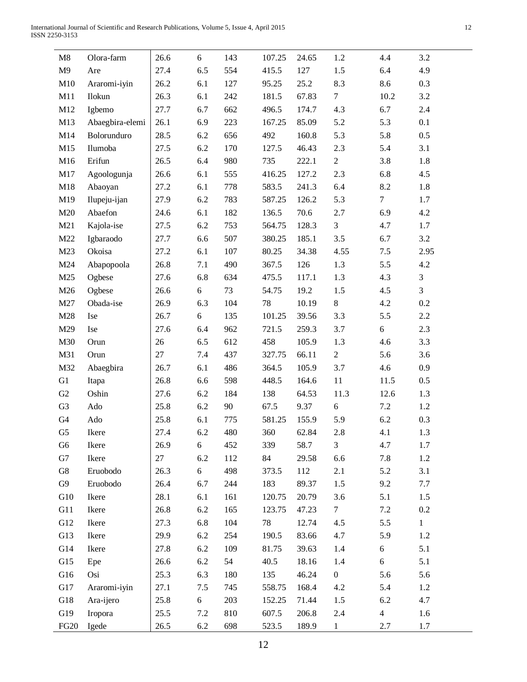|  | e v     |
|--|---------|
|  | v<br>۰. |
|  |         |

| M8             | Olora-farm      | 26.6 | 6   | 143 | 107.25 | 24.65 | 1.2              | 4.4            | 3.2            |
|----------------|-----------------|------|-----|-----|--------|-------|------------------|----------------|----------------|
| M9             | Are             | 27.4 | 6.5 | 554 | 415.5  | 127   | 1.5              | 6.4            | 4.9            |
| M10            | Araromi-iyin    | 26.2 | 6.1 | 127 | 95.25  | 25.2  | 8.3              | 8.6            | 0.3            |
| M11            | Ilokun          | 26.3 | 6.1 | 242 | 181.5  | 67.83 | $\tau$           | 10.2           | 3.2            |
| M12            | Igbemo          | 27.7 | 6.7 | 662 | 496.5  | 174.7 | 4.3              | 6.7            | 2.4            |
| M13            | Abaegbira-elemi | 26.1 | 6.9 | 223 | 167.25 | 85.09 | 5.2              | 5.3            | 0.1            |
| M14            | Bolorunduro     | 28.5 | 6.2 | 656 | 492    | 160.8 | 5.3              | 5.8            | 0.5            |
| M15            | Ilumoba         | 27.5 | 6.2 | 170 | 127.5  | 46.43 | 2.3              | 5.4            | 3.1            |
| M16            | Erifun          | 26.5 | 6.4 | 980 | 735    | 222.1 | $\overline{2}$   | 3.8            | 1.8            |
| M17            | Agoologunja     | 26.6 | 6.1 | 555 | 416.25 | 127.2 | 2.3              | 6.8            | 4.5            |
| M18            | Abaoyan         | 27.2 | 6.1 | 778 | 583.5  | 241.3 | 6.4              | 8.2            | 1.8            |
| M19            | Ilupeju-ijan    | 27.9 | 6.2 | 783 | 587.25 | 126.2 | 5.3              | $\tau$         | 1.7            |
| M20            | Abaefon         | 24.6 | 6.1 | 182 | 136.5  | 70.6  | 2.7              | 6.9            | 4.2            |
| M21            | Kajola-ise      | 27.5 | 6.2 | 753 | 564.75 | 128.3 | 3                | 4.7            | 1.7            |
| M22            | Igbaraodo       | 27.7 | 6.6 | 507 | 380.25 | 185.1 | 3.5              | 6.7            | 3.2            |
| M23            | Okoisa          | 27.2 | 6.1 | 107 | 80.25  | 34.38 | 4.55             | 7.5            | 2.95           |
| M24            | Abapopoola      | 26.8 | 7.1 | 490 | 367.5  | 126   | 1.3              | 5.5            | 4.2            |
| M25            | Ogbese          | 27.6 | 6.8 | 634 | 475.5  | 117.1 | 1.3              | 4.3            | 3              |
| M26            | Ogbese          | 26.6 | 6   | 73  | 54.75  | 19.2  | 1.5              | 4.5            | $\overline{3}$ |
| M27            | Obada-ise       | 26.9 | 6.3 | 104 | 78     | 10.19 | $8\,$            | 4.2            | $0.2\,$        |
| M28            | Ise             | 26.7 | 6   | 135 | 101.25 | 39.56 | 3.3              | 5.5            | 2.2            |
| M29            | <b>Ise</b>      | 27.6 | 6.4 | 962 | 721.5  | 259.3 | 3.7              | 6              | 2.3            |
| M30            | Orun            | 26   | 6.5 | 612 | 458    | 105.9 | 1.3              | 4.6            | 3.3            |
| M31            | Orun            | 27   | 7.4 | 437 | 327.75 | 66.11 | $\overline{2}$   | 5.6            | 3.6            |
| M32            | Abaegbira       | 26.7 | 6.1 | 486 | 364.5  | 105.9 | 3.7              | 4.6            | 0.9            |
| G1             | Itapa           | 26.8 | 6.6 | 598 | 448.5  | 164.6 | 11               | 11.5           | 0.5            |
| G2             | Oshin           | 27.6 | 6.2 | 184 | 138    | 64.53 | 11.3             | 12.6           | 1.3            |
| G <sub>3</sub> | Ado             | 25.8 | 6.2 | 90  | 67.5   | 9.37  | $\sqrt{6}$       | 7.2            | 1.2            |
| G4             | Ado             | 25.8 | 6.1 | 775 | 581.25 | 155.9 | 5.9              | 6.2            | 0.3            |
| G <sub>5</sub> | Ikere           | 27.4 | 6.2 | 480 | 360    | 62.84 | $2.8\,$          | 4.1            | 1.3            |
| G <sub>6</sub> | Ikere           | 26.9 | 6   | 452 | 339    | 58.7  | $\mathfrak{Z}$   | 4.7            | 1.7            |
| G7             | Ikere           | 27   | 6.2 | 112 | 84     | 29.58 | 6.6              | 7.8            | 1.2            |
| G8             | Eruobodo        | 26.3 | 6   | 498 | 373.5  | 112   | 2.1              | 5.2            | 3.1            |
| G9             | Eruobodo        | 26.4 | 6.7 | 244 | 183    | 89.37 | 1.5              | 9.2            | 7.7            |
| G10            | Ikere           | 28.1 | 6.1 | 161 | 120.75 | 20.79 | 3.6              | 5.1            | 1.5            |
| G11            | Ikere           | 26.8 | 6.2 | 165 | 123.75 | 47.23 | $\overline{7}$   | 7.2            | 0.2            |
| G12            | Ikere           | 27.3 | 6.8 | 104 | 78     | 12.74 | 4.5              | 5.5            | $\mathbf{1}$   |
| G13            | Ikere           | 29.9 | 6.2 | 254 | 190.5  | 83.66 | 4.7              | 5.9            | 1.2            |
| G14            | Ikere           | 27.8 | 6.2 | 109 | 81.75  | 39.63 | 1.4              | 6              | 5.1            |
| G15            | Epe             | 26.6 | 6.2 | 54  | 40.5   | 18.16 | 1.4              | 6              | 5.1            |
| G16            | Osi             | 25.3 | 6.3 | 180 | 135    | 46.24 | $\boldsymbol{0}$ | 5.6            | 5.6            |
| G17            | Araromi-iyin    | 27.1 | 7.5 | 745 | 558.75 | 168.4 | 4.2              | 5.4            | 1.2            |
| G18            | Ara-ijero       | 25.8 | 6   | 203 | 152.25 | 71.44 | 1.5              | 6.2            | 4.7            |
| G19            | Iropora         | 25.5 | 7.2 | 810 | 607.5  | 206.8 | 2.4              | $\overline{4}$ | 1.6            |
| <b>FG20</b>    | Igede           | 26.5 | 6.2 | 698 | 523.5  | 189.9 | $\mathbf{1}$     | 2.7            | 1.7            |
|                |                 |      |     |     |        |       |                  |                |                |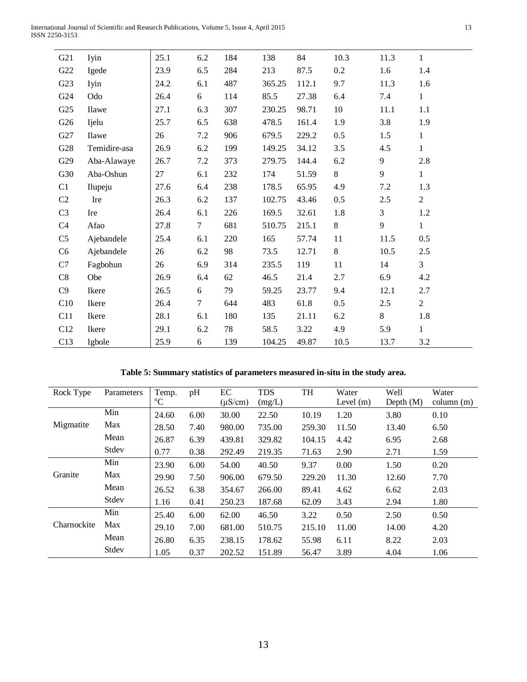| April 2015<br>International Journal of Scientific and Research Publications, Volume 5, Issue 4, |  |
|-------------------------------------------------------------------------------------------------|--|
| ISSN 2250-3153                                                                                  |  |

| G21             | Iyin         | 25.1 | 6.2    | 184 | 138    | 84    | 10.3    | 11.3  | $\mathbf{1}$   |
|-----------------|--------------|------|--------|-----|--------|-------|---------|-------|----------------|
| G22             | Igede        | 23.9 | 6.5    | 284 | 213    | 87.5  | $0.2\,$ | 1.6   | 1.4            |
| G23             | Iyin         | 24.2 | 6.1    | 487 | 365.25 | 112.1 | 9.7     | 11.3  | 1.6            |
| G24             | Odo          | 26.4 | 6      | 114 | 85.5   | 27.38 | 6.4     | 7.4   | $\mathbf{1}$   |
| G <sub>25</sub> | Ilawe        | 27.1 | 6.3    | 307 | 230.25 | 98.71 | 10      | 11.1  | 1.1            |
| G26             | Ijelu        | 25.7 | 6.5    | 638 | 478.5  | 161.4 | 1.9     | 3.8   | 1.9            |
| G27             | <b>Ilawe</b> | 26   | 7.2    | 906 | 679.5  | 229.2 | 0.5     | 1.5   | $\mathbf{1}$   |
| G28             | Temidire-asa | 26.9 | 6.2    | 199 | 149.25 | 34.12 | 3.5     | 4.5   | $\mathbf{1}$   |
| G29             | Aba-Alawaye  | 26.7 | 7.2    | 373 | 279.75 | 144.4 | 6.2     | 9     | 2.8            |
| G30             | Aba-Oshun    | 27   | 6.1    | 232 | 174    | 51.59 | 8       | 9     | $\mathbf{1}$   |
| C1              | Ilupeju      | 27.6 | 6.4    | 238 | 178.5  | 65.95 | 4.9     | 7.2   | 1.3            |
| C2              | Ire          | 26.3 | 6.2    | 137 | 102.75 | 43.46 | 0.5     | 2.5   | $\mathbf{2}$   |
| C <sub>3</sub>  | Ire          | 26.4 | 6.1    | 226 | 169.5  | 32.61 | 1.8     | 3     | 1.2            |
| C4              | Afao         | 27.8 | $\tau$ | 681 | 510.75 | 215.1 | $8\,$   | 9     | $\mathbf{1}$   |
| C <sub>5</sub>  | Ajebandele   | 25.4 | 6.1    | 220 | 165    | 57.74 | 11      | 11.5  | 0.5            |
| C <sub>6</sub>  | Ajebandele   | 26   | 6.2    | 98  | 73.5   | 12.71 | $8\,$   | 10.5  | 2.5            |
| C7              | Fagbohun     | 26   | 6.9    | 314 | 235.5  | 119   | 11      | 14    | 3              |
| C8              | Obe          | 26.9 | 6.4    | 62  | 46.5   | 21.4  | 2.7     | 6.9   | 4.2            |
| C9              | Ikere        | 26.5 | 6      | 79  | 59.25  | 23.77 | 9.4     | 12.1  | 2.7            |
| C10             | Ikere        | 26.4 | $\tau$ | 644 | 483    | 61.8  | 0.5     | 2.5   | $\overline{2}$ |
| C11             | Ikere        | 28.1 | 6.1    | 180 | 135    | 21.11 | 6.2     | $8\,$ | 1.8            |
| C12             | Ikere        | 29.1 | 6.2    | 78  | 58.5   | 3.22  | 4.9     | 5.9   | $\mathbf{1}$   |
| C13             | Igbole       | 25.9 | 6      | 139 | 104.25 | 49.87 | 10.5    | 13.7  | 3.2            |

# **Table 5: Summary statistics of parameters measured in-situ in the study area.**

| Rock Type   | Parameters | Temp.<br>$\rm ^{o}C$ | pH   | EC<br>$(\mu S/cm)$ | <b>TDS</b><br>(mg/L) | TH     | Water<br>Level $(m)$ | Well<br>Depth $(M)$ | Water<br>column (m) |
|-------------|------------|----------------------|------|--------------------|----------------------|--------|----------------------|---------------------|---------------------|
|             | Min        | 24.60                | 6.00 | 30.00              | 22.50                | 10.19  | 1.20                 | 3.80                | 0.10                |
| Migmatite   | Max        | 28.50                | 7.40 | 980.00             | 735.00               | 259.30 | 11.50                | 13.40               | 6.50                |
|             | Mean       | 26.87                | 6.39 | 439.81             | 329.82               | 104.15 | 4.42                 | 6.95                | 2.68                |
|             | Stdev      | 0.77                 | 0.38 | 292.49             | 219.35               | 71.63  | 2.90                 | 2.71                | 1.59                |
|             | Min        | 23.90                | 6.00 | 54.00              | 40.50                | 9.37   | 0.00                 | 1.50                | 0.20                |
| Granite     | Max        | 29.90                | 7.50 | 906.00             | 679.50               | 229.20 | 11.30                | 12.60               | 7.70                |
|             | Mean       | 26.52                | 6.38 | 354.67             | 266.00               | 89.41  | 4.62                 | 6.62                | 2.03                |
|             | Stdev      | 1.16                 | 0.41 | 250.23             | 187.68               | 62.09  | 3.43                 | 2.94                | 1.80                |
|             | Min        | 25.40                | 6.00 | 62.00              | 46.50                | 3.22   | 0.50                 | 2.50                | 0.50                |
| Charnockite | Max        | 29.10                | 7.00 | 681.00             | 510.75               | 215.10 | 11.00                | 14.00               | 4.20                |
|             | Mean       | 26.80                | 6.35 | 238.15             | 178.62               | 55.98  | 6.11                 | 8.22                | 2.03                |
|             | Stdev      | 1.05                 | 0.37 | 202.52             | 151.89               | 56.47  | 3.89                 | 4.04                | 1.06                |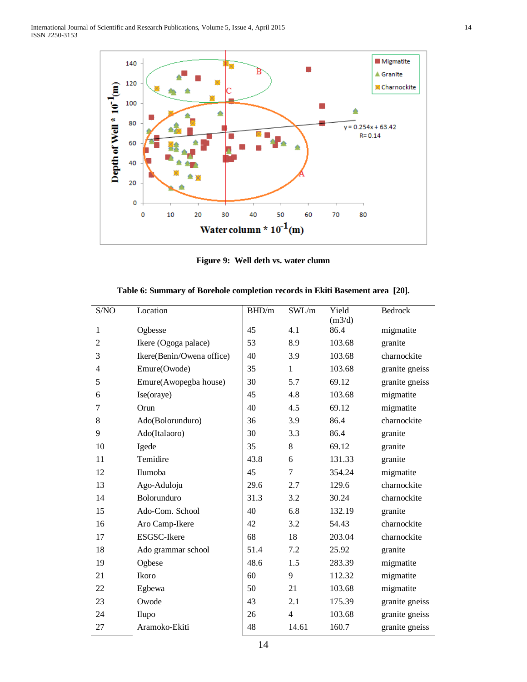

**Figure 9: Well deth vs. water clumn**

| S/NO           | Location                  | BHD/m | SWL/m          | Yield  | Bedrock        |
|----------------|---------------------------|-------|----------------|--------|----------------|
|                |                           |       |                | (m3/d) |                |
| 1              | Ogbesse                   | 45    | 4.1            | 86.4   | migmatite      |
| $\overline{2}$ | Ikere (Ogoga palace)      | 53    | 8.9            | 103.68 | granite        |
| 3              | Ikere(Benin/Owena office) | 40    | 3.9            | 103.68 | charnockite    |
| $\overline{4}$ | Emure(Owode)              | 35    | $\mathbf{1}$   | 103.68 | granite gneiss |
| 5              | Emure(Awopegba house)     | 30    | 5.7            | 69.12  | granite gneiss |
| 6              | Ise(oraye)                | 45    | 4.8            | 103.68 | migmatite      |
| 7              | Orun                      | 40    | 4.5            | 69.12  | migmatite      |
| 8              | Ado(Bolorunduro)          | 36    | 3.9            | 86.4   | charnockite    |
| 9              | Ado(Italaoro)             | 30    | 3.3            | 86.4   | granite        |
| 10             | Igede                     | 35    | 8              | 69.12  | granite        |
| 11             | Temidire                  | 43.8  | 6              | 131.33 | granite        |
| 12             | Ilumoba                   | 45    | 7              | 354.24 | migmatite      |
| 13             | Ago-Aduloju               | 29.6  | 2.7            | 129.6  | charnockite    |
| 14             | Bolorunduro               | 31.3  | 3.2            | 30.24  | charnockite    |
| 15             | Ado-Com. School           | 40    | 6.8            | 132.19 | granite        |
| 16             | Aro Camp-Ikere            | 42    | 3.2            | 54.43  | charnockite    |
| 17             | <b>ESGSC-Ikere</b>        | 68    | 18             | 203.04 | charnockite    |
| 18             | Ado grammar school        | 51.4  | 7.2            | 25.92  | granite        |
| 19             | Ogbese                    | 48.6  | 1.5            | 283.39 | migmatite      |
| 21             | Ikoro                     | 60    | 9              | 112.32 | migmatite      |
| 22             | Egbewa                    | 50    | 21             | 103.68 | migmatite      |
| 23             | Owode                     | 43    | 2.1            | 175.39 | granite gneiss |
| 24             | Ilupo                     | 26    | $\overline{4}$ | 103.68 | granite gneiss |
| 27             | Aramoko-Ekiti             | 48    | 14.61          | 160.7  | granite gneiss |

|  |  | Table 6: Summary of Borehole completion records in Ekiti Basement area [20]. |  |
|--|--|------------------------------------------------------------------------------|--|
|  |  |                                                                              |  |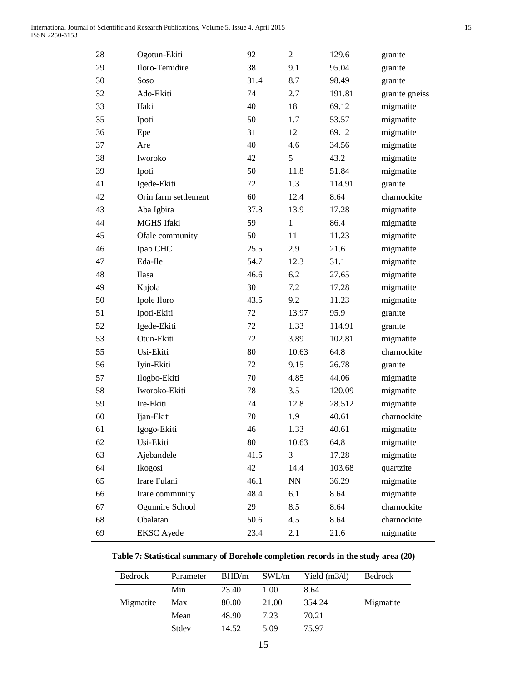| 28 | Ogotun-Ekiti         | 92   | $\overline{2}$ | 129.6  | granite        |
|----|----------------------|------|----------------|--------|----------------|
| 29 | Iloro-Temidire       | 38   | 9.1            | 95.04  | granite        |
| 30 | Soso                 | 31.4 | 8.7            | 98.49  | granite        |
| 32 | Ado-Ekiti            | 74   | 2.7            | 191.81 | granite gneiss |
| 33 | Ifaki                | 40   | 18             | 69.12  | migmatite      |
| 35 | Ipoti                | 50   | 1.7            | 53.57  | migmatite      |
| 36 | Epe                  | 31   | 12             | 69.12  | migmatite      |
| 37 | Are                  | 40   | 4.6            | 34.56  | migmatite      |
| 38 | Iworoko              | 42   | 5              | 43.2   | migmatite      |
| 39 | Ipoti                | 50   | 11.8           | 51.84  | migmatite      |
| 41 | Igede-Ekiti          | 72   | 1.3            | 114.91 | granite        |
| 42 | Orin farm settlement | 60   | 12.4           | 8.64   | charnockite    |
| 43 | Aba Igbira           | 37.8 | 13.9           | 17.28  | migmatite      |
| 44 | MGHS Ifaki           | 59   | $\mathbf{1}$   | 86.4   | migmatite      |
| 45 | Ofale community      | 50   | 11             | 11.23  | migmatite      |
| 46 | Ipao CHC             | 25.5 | 2.9            | 21.6   | migmatite      |
| 47 | Eda-Ile              | 54.7 | 12.3           | 31.1   | migmatite      |
| 48 | Ilasa                | 46.6 | 6.2            | 27.65  | migmatite      |
| 49 | Kajola               | 30   | 7.2            | 17.28  | migmatite      |
| 50 | Ipole Iloro          | 43.5 | 9.2            | 11.23  | migmatite      |
| 51 | Ipoti-Ekiti          | 72   | 13.97          | 95.9   | granite        |
| 52 | Igede-Ekiti          | 72   | 1.33           | 114.91 | granite        |
| 53 | Otun-Ekiti           | 72   | 3.89           | 102.81 | migmatite      |
| 55 | Usi-Ekiti            | 80   | 10.63          | 64.8   | charnockite    |
| 56 | Iyin-Ekiti           | 72   | 9.15           | 26.78  | granite        |
| 57 | Ilogbo-Ekiti         | 70   | 4.85           | 44.06  | migmatite      |
| 58 | Iworoko-Ekiti        | 78   | 3.5            | 120.09 | migmatite      |
| 59 | Ire-Ekiti            | 74   | 12.8           | 28.512 | migmatite      |
| 60 | Ijan-Ekiti           | 70   | 1.9            | 40.61  | charnockite    |
| 61 | Igogo-Ekiti          | 46   | 1.33           | 40.61  | migmatite      |
| 62 | Usi-Ekiti            | 80   | 10.63          | 64.8   | migmatite      |
| 63 | Ajebandele           | 41.5 | 3              | 17.28  | migmatite      |
| 64 | Ikogosi              | 42   | 14.4           | 103.68 | quartzite      |
| 65 | Irare Fulani         | 46.1 | NN             | 36.29  | migmatite      |
| 66 | Irare community      | 48.4 | 6.1            | 8.64   | migmatite      |
| 67 | Ogunnire School      | 29   | 8.5            | 8.64   | charnockite    |
| 68 | Obalatan             | 50.6 | 4.5            | 8.64   | charnockite    |
| 69 | <b>EKSC</b> Ayede    | 23.4 | 2.1            | 21.6   | migmatite      |

**Table 7: Statistical summary of Borehole completion records in the study area (20)**

| Bedrock   | Parameter | BHD/m | SWL/m | Yield $(m3/d)$ | <b>Bedrock</b> |
|-----------|-----------|-------|-------|----------------|----------------|
|           | Min       | 23.40 | 1.00  | 8.64           |                |
| Migmatite | Max       | 80.00 | 21.00 | 354.24         | Migmatite      |
|           | Mean      | 48.90 | 7.23  | 70.21          |                |
|           | Stdev     | 14.52 | 5.09  | 75.97          |                |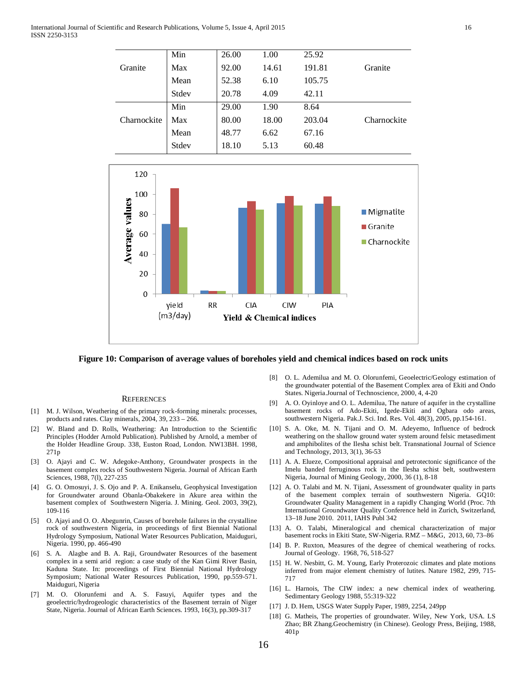|             | Min   | 26.00 | 1.00  | 25.92  |             |
|-------------|-------|-------|-------|--------|-------------|
| Granite     | Max   | 92.00 | 14.61 | 191.81 | Granite     |
|             | Mean  | 52.38 | 6.10  | 105.75 |             |
|             | Stdev | 20.78 | 4.09  | 42.11  |             |
|             | Min   | 29.00 | 1.90  | 8.64   |             |
| Charnockite | Max   | 80.00 | 18.00 | 203.04 | Charnockite |
|             | Mean  | 48.77 | 6.62  | 67.16  |             |
|             | Stdev | 18.10 | 5.13  | 60.48  |             |



**Figure 10: Comparison of average values of boreholes yield and chemical indices based on rock units**

#### **REFERENCES**

- [1] M. J. Wilson, Weathering of the primary rock-forming minerals: processes, products and rates. Clay minerals, 2004, 39, 233 – 266.
- [2] W. Bland and D. Rolls, Weathering: An Introduction to the Scientific Principles (Hodder Arnold Publication). Published by Arnold, a member of the Holder Headline Group. 338, Euston Road, London. NW13BH. 1998, 271p
- [3] O. Ajayi and C. W. Adegoke-Anthony, Groundwater prospects in the basement complex rocks of Southwestern Nigeria. Journal of African Earth Sciences, 1988, 7(l), 227-235
- [4] G. O. Omosuyi, J. S. Ojo and P. A. Enikanselu, Geophysical Investigation for Groundwater around Obanla-Obakekere in Akure area within the basement complex of Southwestern Nigeria. J. Mining. Geol. 2003, 39(2), 109-116
- [5] O. Ajayi and O. O. Abegunrin, Causes of borehole failures in the crystalline rock of southwestern Nigeria, in proceedings of first Biennial National Hydrology Symposium, National Water Resources Publication, Maiduguri, Nigeria. 1990, pp. 466-490
- [6] S. A. Alagbe and B. A. Raji, Groundwater Resources of the basement complex in a semi arid region: a case study of the Kan Gimi River Basin, Kaduna State. In: proceedings of First Biennial National Hydrology Symposium; National Water Resources Publication, 1990, pp.559-571. Maiduguri, Nigeria
- [7] M. O. Olorunfemi and A. S. Fasuyi, Aquifer types and the geoelectric/hydrogeologic characteristics of the Basement terrain of Niger State, Nigeria. Journal of African Earth Sciences. 1993, 16(3), pp.309-317
- [8] O. L. Ademilua and M. O. Olorunfemi, Geoelectric/Geology estimation of the groundwater potential of the Basement Complex area of Ekiti and Ondo States. Nigeria.Journal of Technoscience, 2000, 4, 4-20
- [9] A. O. Oyinloye and O. L. Ademilua, The nature of aquifer in the crystalline basement rocks of Ado-Ekiti, Igede-Ekiti and Ogbara odo areas, southwestern Nigeria. Pak.J. Sci. Ind. Res. Vol. 48(3), 2005, pp.154-161.
- [10] S. A. Oke, M. N. Tijani and O. M. Adeyemo, Influence of bedrock weathering on the shallow ground water system around felsic metasediment and amphibolites of the Ilesha schist belt. Transnational Journal of Science and Technology, 2013, 3(1), 36-53
- [11] A. A. Elueze, Compositional appraisal and petrotectonic significance of the Imelu banded ferruginous rock in the Ilesha schist belt, southwestern Nigeria, Journal of Mining Geology, 2000, 36 (1), 8-18
- [12] A. O. Talabi and M. N. Tijani, Assessment of groundwater quality in parts of the basement complex terrain of southwestern Nigeria. GQ10: Groundwater Quality Management in a rapidly Changing World (Proc. 7th International Groundwater Quality Conference held in Zurich, Switzerland, 13–18 June 2010. 2011, IAHS Publ 342
- [13] A. O. Talabi, Mineralogical and chemical characterization of major basement rocks in Ekiti State, SW-Nigeria. RMZ – M&G, 2013, 60, 73–86
- [14] B. P. Ruxton, Measures of the degree of chemical weathering of rocks. Journal of Geology. 1968, 76, 518-527
- [15] H. W. Nesbitt, G. M. Young, Early Proterozoic climates and plate motions inferred from major element chemistry of lutites. Nature 1982, 299, 715- 717
- [16] L. Harnois, The CIW index: a new chemical index of weathering. Sedimentary Geology 1988, 55:319-322
- [17] J. D. Hem, USGS Water Supply Paper, 1989, 2254, 249pp
- [18] G. Matheis, The properties of groundwater. Wiley, New York, USA. LS Zhao; BR Zhang.Geochemistry (in Chinese). Geology Press, Beijing, 1988, 401p